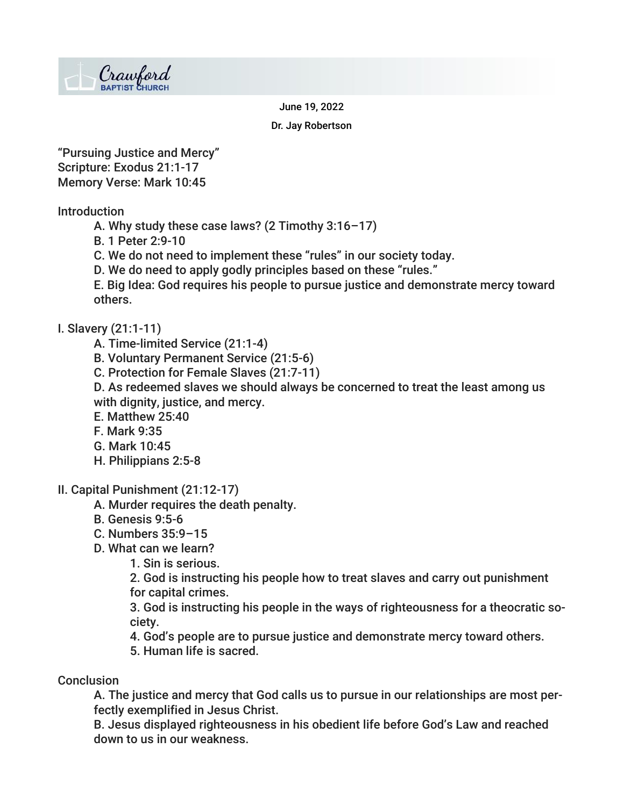

June 19, 2022

Dr. Jay Robertson

"Pursuing Justice and Mercy" Scripture: Exodus 21:1-17 Memory Verse: Mark 10:45

Introduction

- A. Why study these case laws? (2 Timothy 3:16–17)
- B. 1 Peter 2:9-10
- C. We do not need to implement these "rules" in our society today.
- D. We do need to apply godly principles based on these "rules."

E. Big Idea: God requires his people to pursue justice and demonstrate mercy toward others.

## I. Slavery (21:1-11)

- A. Time-limited Service (21:1-4)
- B. Voluntary Permanent Service (21:5-6)
- C. Protection for Female Slaves (21:7-11)

D. As redeemed slaves we should always be concerned to treat the least among us with dignity, justice, and mercy.

- E. Matthew 25:40
- F. Mark 9:35
- G. Mark 10:45
- H. Philippians 2:5-8
- II. Capital Punishment (21:12-17)
	- A. Murder requires the death penalty.
	- B. Genesis 9:5-6
	- C. Numbers 35:9–15
	- D. What can we learn?

1. Sin is serious.

2. God is instructing his people how to treat slaves and carry out punishment for capital crimes.

3. God is instructing his people in the ways of righteousness for a theocratic society.

- 4. God's people are to pursue justice and demonstrate mercy toward others.
- 5. Human life is sacred.

## **Conclusion**

A. The justice and mercy that God calls us to pursue in our relationships are most perfectly exemplified in Jesus Christ.

B. Jesus displayed righteousness in his obedient life before God's Law and reached down to us in our weakness.